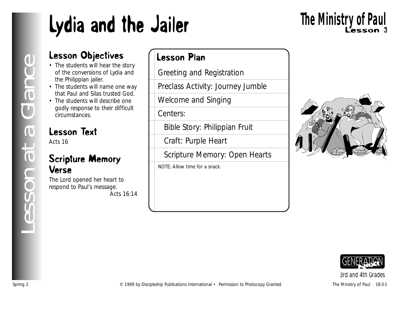# Lydia and the Jailer

# Lesson 3 **The Ministry of Paul**

### Lesson Objectives

- The students will hear the story of the conversions of Lydia and the Philippian jailer.
- The students will name one way that Paul and Silas trusted God.
- The students will describe one godly response to their difficult circumstances.

### Lesson Text

Acts 16

#### Scripture Memory Verse

The Lord opened her heart to respond to Paul's message. *Acts 16:14*

#### Lesson Plan

Greeting and Registration

Preclass Activity: Journey Jumble

Welcome and Singing

Centers:

Bible Story: Philippian Fruit

Craft: Purple Heart

Scripture Memory: Open Hearts

NOTE: Allow time for a snack.



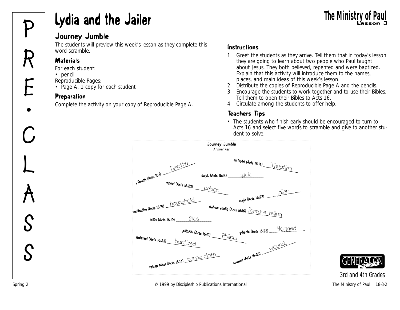# **Lydia and the Jailer** The Ministry of Paul Inc. The Ministry of Paul Journey Jumble

#### Journey Jumble

The students will preview this week's lesson as they complete this word scramble.

#### **Materials**

*For each student:*

- pencil
- *Reproducible Pages:*
- Page A, 1 copy for each student

#### Preparation

Complete the activity on your copy of Reproducible Page A.

#### Instructions

- 1. Greet the students as they arrive. Tell them that in today's lesson they are going to learn about two people who Paul taught about Jesus. They both believed, repented and were baptized. Explain that this activity will introduce them to the names, places, and main ideas of this week's lesson.
- 2. Distribute the copies of Reproducible Page A and the pencils.
- 3. Encourage the students to work together and to use their Bibles. Tell them to open their Bibles to Acts 16.
- 4. Circulate among the students to offer help.

#### Teachers Tips

• The students who finish early should be encouraged to turn to Acts 16 and select five words to scramble and give to another student to solve.



*<sup>3</sup>rd and 4th Grades*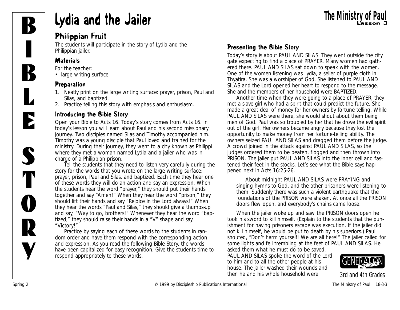

# **Lydia and the Jailer September 2016** The Ministry of Paul Lesson 3

#### Philippian Fruit

The students will participate in the story of Lydia and the Philippian jailer.

#### **Materials**

*For the teacher:*

• large writing surface

#### Preparation

- 1. Neatly print on the large writing surface: prayer, prison, Paul and Silas, and baptized.
- 2. Practice telling this story with emphasis and enthusiasm.

#### Introducing the Bible Story

*Open your Bible to Acts 16. Today's story comes from Acts 16. In today's lesson you will learn about Paul and his second missionary journey. Two disciples named Silas and Timothy accompanied him. Timothy was a young disciple that Paul loved and trained for the ministry. During their journey, they went to a city known as Philippi where they met a woman named Lydia and a jailer who was in charge of a Philippian prison.* 

Tell the students that they need to listen very carefully during the story for the words that you wrote on the large writing surface: prayer, prison, Paul and Silas, and baptized. Each time they hear one of these words they will do an action and say an expression. When the students hear the word "prayer," they should put their hands together and say "Amen!" When they hear the word "prison," they should lift their hands and say "Rejoice in the Lord always!" When they hear the words "Paul and Silas," they should give a thumbs-up and say, "Way to go, brothers!" Whenever they hear the word "baptized," they should raise their hands in a "V" shape and say, "Victory!"

Practice by saying each of these words to the students in random order and have them respond with the corresponding action and expression. As you read the following Bible Story, the words have been capitalized for easy recognition. Give the students time to respond appropriately to these words.

#### Presenting the Bible Story

*Today's story is about PAUL AND SILAS. They went outside the city gate expecting to find a place of PRAYER. Many women had gathered there. PAUL AND SILAS sat down to speak with the women. One of the women listening was Lydia, a seller of purple cloth in Thyatira. She was a worshiper of God. She listened to PAUL AND SILAS and the Lord opened her heart to respond to the message. She and the members of her household were BAPTIZED.*

*Another time when they were going to a place of PRAYER, they met a slave girl who had a spirit that could predict the future. She made a great deal of money for her owners by fortune telling. While PAUL AND SILAS were there, she would shout about them being men of God. Paul was so troubled by her that he drove the evil spirit out of the girl. Her owners became angry because they lost the opportunity to make money from her fortune-telling ability. The owners seized PAUL AND SILAS and dragged them before the judge. A crowd joined in the attack against PAUL AND SILAS, so the judges ordered them to be beaten, flogged and then thrown into PRISON. The jailer put PAUL AND SILAS into the inner cell and fastened their feet in the stocks. Let's see what the Bible says happened next in Acts 16:25-26.*

*About midnight PAUL AND SILAS were PRAYING and singing hymns to God, and the other prisoners were listening to them. Suddenly there was such a violent earthquake that the foundations of the PRISON were shaken. At once all the PRISON doors flew open, and everybody's chains came loose.*

*When the jailer woke up and saw the PRISON doors open he took his sword to kill himself.* (Explain to the students that the punishment for having prisoners escape was execution. If the jailer did not kill himself, he would be put to death by his superiors.) *Paul shouted, "Don't harm yourself! We are all here!" The jailer called for some lights and fell trembling at the feet of PAUL AND SILAS. He asked them what he must do to be saved.*

*PAUL AND SILAS spoke the word of the Lord to him and to all the other people at his house. The jailer washed their wounds and then he and his whole household were* 

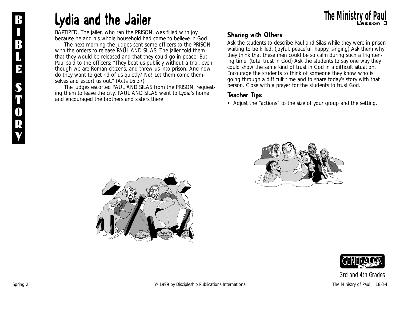### **R Lydia and the Jailer Lydia and the Jailer The Ministry of Paul**

*BAPTIZED. The jailer, who ran the PRISON, was filled with joy because he and his whole household had come to believe in God.*

*The next morning the judges sent some officers to the PRISON with the orders to release PAUL AND SILAS. The jailer told them that they would be released and that they could go in peace. But Paul said to the officers: "They beat us publicly without a trial, even though we are Roman citizens, and threw us into prison. And now do they want to get rid of us quietly? No! Let them come themselves and escort us out." (Acts 16:37)*

*The judges escorted PAUL AND SILAS from the PRISON, requesting them to leave the city. PAUL AND SILAS went to Lydia's home and encouraged the brothers and sisters there.*

#### Sharing with Others

Ask the students to describe Paul and Silas while they were in prison waiting to be killed. (joyful, peaceful, happy, singing) Ask them why they think that these men could be so calm during such a frightening time. (total trust in God) Ask the students to say one way they could show the same kind of trust in God in a difficult situation. Encourage the students to think of someone they know who is going through a difficult time and to share today's story with that person. Close with a prayer for the students to trust God.

#### Teacher Tips

• Adjust the "actions" to the size of your group and the setting.





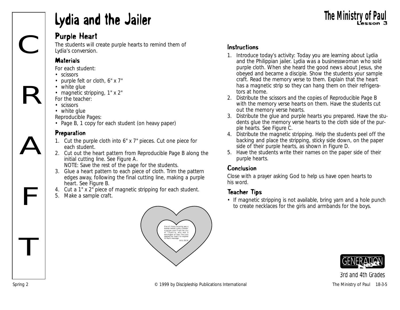### Lydia and the Jailer

#### Purple Heart

The students will create purple hearts to remind them of Lydia's conversion.

#### **Materials**

C

R

A

F

T

*For each student:*

- scissors
- purple felt or cloth, 6" x 7"
- white glue
- magnetic stripping, 1" x 2" *For the teacher:*
- scissors
- white glue
- *Reproducible Pages:*
- Page B, 1 copy for each student (on heavy paper)

#### Preparation

- 1. Cut the purple cloth into 6" x 7" pieces. Cut one piece for each student.
- 2. Cut out the heart pattern from Reproducible Page B along the initial cutting line. See Figure A.
	- NOTE: Save the rest of the page for the students.
- 3. Glue a heart pattern to each piece of cloth. Trim the pattern edges away, following the final cutting line, making a purple heart. See Figure B.
- 4. Cut a 1" x 2" piece of magnetic stripping for each student.
- 5. Make a sample craft.



#### Instructions

1. Introduce today's activity: *Today you are learning about Lydia and the Philippian jailer. Lydia was a businesswoman who sold purple cloth. When she heard the good news about Jesus, she obeyed and became a disciple.* Show the students your sample craft. Read the memory verse to them. Explain that the heart has a magnetic strip so they can hang them on their refrigerators at home.

**The Ministry of Pa** 

- 2. Distribute the scissors and the copies of Reproducible Page B with the memory verse hearts on them. Have the students cut out the memory verse hearts.
- 3. Distribute the glue and purple hearts you prepared. Have the students glue the memory verse hearts to the cloth side of the purple hearts. See Figure C.
- 4. Distribute the magnetic stripping. Help the students peel off the backing and place the stripping, sticky side down, on the paper side of their purple hearts, as shown in Figure D.
- 5. Have the students write their names on the paper side of their purple hearts.

#### Conclusion

Close with a prayer asking God to help us have open hearts to his word.

#### Teacher Tips

• If magnetic stripping is not available, bring yarn and a hole punch to create necklaces for the girls and armbands for the boys.

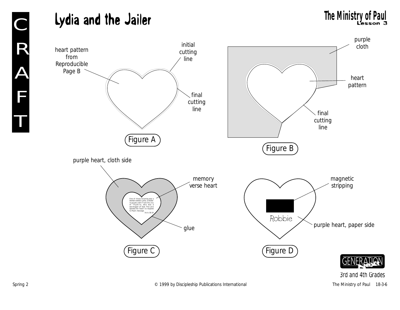## **Lydia and the Jailer** The Ministry of Paul The Ministry of Paul

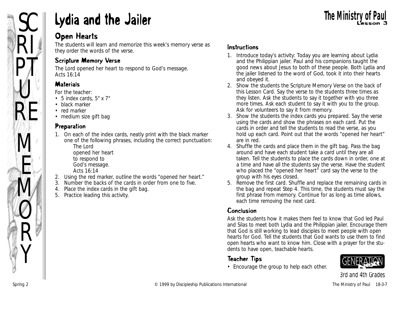

## SC **Lydia and the Jailer** Lesson 3

#### Open Hearts

The students will learn and memorize this week's memory verse as they order the words of the verse.

#### Scripture Memory Verse

The Lord opened her heart to respond to God's message. *Acts 16:14*

#### **Materials**

#### *For the teacher:*

- 5 index cards, 5" x 7"
- black marker
- red marker
- medium size gift bag

#### Preparation

- 1. On each of the index cards, neatly print with the black marker one of the following phrases, including the correct punctuation: The Lord opened her heart to respond to
	- God's message.
	- Acts 16:14
- 2. Using the red marker, outline the words "opened her heart."
- 3. Number the backs of the cards in order from one to five.
- 4. Place the index cards in the gift bag.
- 5. Practice leading this activity.

#### Instructions

- 1. Introduce today's activity: *Today you are learning about Lydia and the Philippian jailer. Paul and his companions taught the good news about Jesus to both of these people. Both Lydia and the jailer listened to the word of God, took it into their hearts and obeyed it.*
- 2. Show the students the Scripture Memory Verse on the back of this Lesson Card. Say the verse to the students three times as they listen. Ask the students to say it together with you three more times. Ask each student to say it with you to the group. Ask for volunteers to say it from memory.
- 3. Show the students the index cards you prepared. Say the verse using the cards and show the phrases on each card. Put the cards in order and tell the students to read the verse, as you hold up each card. Point out that the words "opened her heart" are in red.
- 4. Shuffle the cards and place them in the gift bag. Pass the bag around and have each student take a card until they are all taken. Tell the students to place the cards down in order, one at a time and have all the students say the verse. Have the student who placed the "opened her heart" card say the verse to the group with his eyes closed.
- 5. Remove the first card. Shuffle and replace the remaining cards in the bag and repeat Step 4. This time, the students must say the first phrase from memory. Continue for as long as time allows, each time removing the next card.

#### Conclusion

Ask the students how it makes them feel to know that God led Paul and Silas to meet both Lydia and the Philippian jailer. Encourage them that God is still working to lead disciples to meet people with open hearts for God. Tell the students that God wants to use them to find open hearts who want to know him. Close with a prayer for the students to have open, teachable hearts.

#### Teacher Tips

• Encourage the group to help each other.

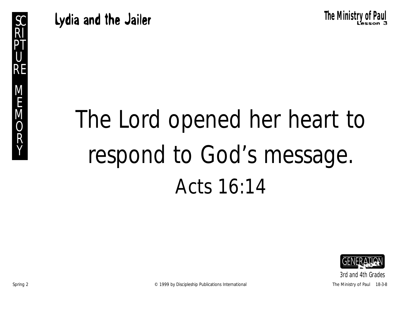**Lydia and the Jailer SC Research SC Research Research Research SC** Research Research SC Research SC Research SC

# The Lord opened her heart to respond to God's message. Acts 16:14

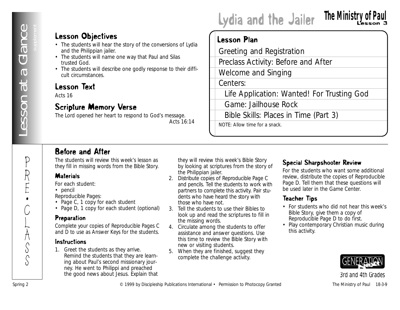P

R

E •

C

Ļ

 $\sum_{i=1}^{n}$ S

S

#### Lesson Objectives

- The students will hear the story of the conversions of Lydia and the Philippian jailer.
- The students will name one way that Paul and Silas trusted God.
- The students will describe one godly response to their difficult circumstances.

#### Lesson Text

Acts 16

#### Scripture Memory Verse

The Lord opened her heart to respond to God's message. *Acts 16:14*

#### Lydia and the Jailer **The Ministry of Paul**

#### Lesson Plan

**Lesson Objectives**<br>
and the fillipoon plate<br>
and the fillipoon plate<br>
in a business of the context business and the fillipoon plate<br>
in a business of **Decision Theorem Context and Spring Context**<br>
and international + the Greeting and Registration Preclass Activity: Before and After Welcome and Singing Centers: Life Application: Wanted! For Trusting God Game: Jailhouse Rock Bible Skills: Places in Time (Part 3) NOTE: Allow time for a snack.

#### Before and After

The students will review this week's lesson as they fill in missing words from the Bible Story.

#### **Materials**

*For each student:*

• pencil

*Reproducible Pages:*

- Page C, 1 copy for each student
- Page D, 1 copy for each student (optional)

#### **Preparation**

Complete your copies of Reproducible Pages C and D to use as Answer Keys for the students.

#### Instructions

1. Greet the students as they arrive. Remind the students that they are learning about Paul's second missionary journey. He went to Philippi and preached the good news about Jesus. Explain that they will review this week's Bible Story by looking at scriptures from the story of the Philippian jailer.

- 2. Distribute copies of Reproducible Page C and pencils. Tell the students to work with partners to complete this activity. Pair students who have heard the story with those who have not.
- 3. Tell the students to use their Bibles to look up and read the scriptures to fill in the missing words.
- 4. Circulate among the students to offer assistance and answer questions. Use this time to review the Bible Story with new or visiting students.
- 5. When they are finished, suggest they complete the challenge activity.

#### Special Sharpshooter Review

For the students who want some additional review, distribute the copies of Reproducible Page D. Tell them that these questions will be used later in the Game Center.

#### Teacher Tips

- For students who did not hear this week's Bible Story, give them a copy of Reproducible Page D to do first.
- Play contemporary Christian music during this activity.

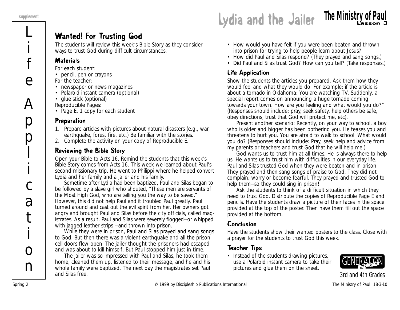

#### Wanted! For Trusting God

The students will review this week's Bible Story as they consider ways to trust God during difficult circumstances.

#### **Materials**

*For each student:*

- pencil, pen or crayons
- *For the teacher:*
- newspaper or news magazines
- Polaroid instant camera (optional)
- glue stick (optional)

*Reproducible Pages:*

• Page E, 1 copy for each student

#### Preparation

- 1. Prepare articles with pictures about natural disasters (e.g., war, earthquake, forest fire, etc.) Be familiar with the stories.
- 2. Complete the activity on your copy of Reproducible E.

#### Reviewing the Bible Story

Open your Bible to Acts 16*.* Remind the students that this week's Bible Story comes from Acts 16. *This week we learned about Paul's second missionary trip. He went to Philippi where he helped convert Lydia and her family and a jailer and his family.*

*Sometime after Lydia had been baptized, Paul and Silas began to be followed by a slave girl who shouted, "These men are servants of the Most High God, who are telling you the way to be saved." However, this did not help Paul and it troubled Paul greatly. Paul turned around and cast out the evil spirit from her. Her owners got angry and brought Paul and Silas before the city officials, called magistrates. As a result, Paul and Silas were severely flogged—or whipped with jagged leather strips —and thrown into prison.*

*While they were in prison, Paul and Silas prayed and sang songs to God. But then there was a violent earthquake and all the prison cell doors flew open. The jailer thought the prisoners had escaped and was about to kill himself. But Paul stopped him just in time.*

*The jailer was so impressed with Paul and Silas, he took them home, cleaned them up, listened to their message, and he and his whole family were baptized. The next day the magistrates set Paul and Silas free.*

- *How would you have felt if you were been beaten and thrown into prison for trying to help people learn about Jesus?*
- *How did Paul and Silas respond?* (They prayed and sang songs.)
- *Did Paul and Silas trust God? How can you tell?* (Take responses.)

#### Life Application

Show the students the articles you prepared. Ask them how they would feel and what they would do. For example: if the article is about a tornado in Oklahoma: *You are watching TV. Suddenly, a special report comes on announcing a huge tornado coming towards your town. How are you feeling and what would you do?"* (Responses should include: pray, seek safety, help others be safe, obey directions, trust that God will protect me, etc).

Present another scenario: *Recently, on your way to school, a boy who is older and bigger has been bothering you. He teases you and threatens to hurt you. You are afraid to walk to school. What would you do?* (Responses should include: Pray, seek help and advice from my parents or teachers and trust God that he will help me.)

God wants us to trust him at all times. He is always there to help us. He wants us to trust him with difficulties in our everyday life. Paul and Silas trusted God when they were beaten and in prison. They prayed and then sang songs of praise to God. They did not complain, worry or become fearful. They prayed and trusted God to help them—so they could sing in prison!

Ask the students to think of a difficult situation in which they need to trust God. Distribute the copies of Reproducible Page E and pencils. Have the students draw a picture of their faces in the space provided at the top of the poster. Then have them fill out the space provided at the bottom.

#### Conclusion

Have the students show their wanted posters to the class. Close with a prayer for the students to trust God this week.

#### Teacher Tips

• Instead of the students drawing pictures, use a Polaroid instant camera to take their pictures and glue them on the sheet.

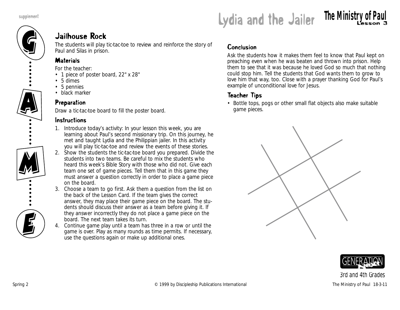

#### Jailhouse Rock

The students will play tic-tac-toe to review and reinforce the story of Paul and Silas in prison.

#### **Materials**

*For the teacher:*

- 1 piece of poster board, 22" x 28"
- 5 dimes
- 5 pennies
- black marker

#### Preparation

Draw a tic-tac-toe board to fill the poster board.

#### **Instructions**

- 1. Introduce today's activity: *In your lesson this week, you are learning about Paul's second missionary trip. On this journey, he met and taught Lydia and the Philippian jailer. In this activity you will play tic-tac-toe and review the events of these stories.*
- 2. Show the students the tic-tac-toe board you prepared. Divide the students into two teams. Be careful to mix the students who heard this week's Bible Story with those who did not. Give each team one set of game pieces. Tell them that in this game they must answer a question correctly in order to place a game piece on the board.
- 3. Choose a team to go first. Ask them a question from the list on the back of the Lesson Card. If the team gives the correct answer, they may place their game piece on the board. The students should discuss their answer as a team before giving it. If they answer incorrectly they do not place a game piece on the board. The next team takes its turn.
- 4. Continue game play until a team has three in a row or until the game is over. Play as many rounds as time permits. If necessary, use the questions again or make up additional ones.

#### Conclusion

Ask the students how it makes them feel to know that Paul kept on preaching even when he was beaten and thrown into prison. Help them to see that it was because he loved God so much that nothing could stop him. Tell the students that God wants them to grow to love him that way, too. Close with a prayer thanking God for Paul's example of unconditional love for Jesus.

#### Teacher Tips

• Bottle tops, pogs or other small flat objects also make suitable game pieces.



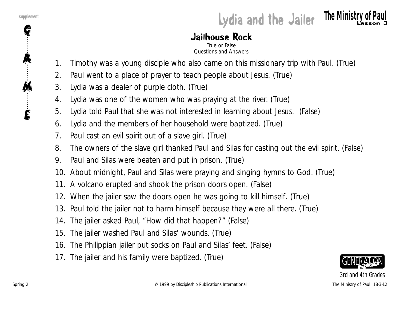G

A

M

E

### supplement **Lydia and the Jailer The Ministry of Paul**

### Jailhouse Rock

True or False Questions and Answers

- 1. Timothy was a young disciple who also came on this missionary trip with Paul. (True)
- 2. Paul went to a place of prayer to teach people about Jesus. (True)
- 3. Lydia was a dealer of purple cloth. (True)
- 4. Lydia was one of the women who was praying at the river. (True)
- 5. Lydia told Paul that she was not interested in learning about Jesus. (False)
- 6. Lydia and the members of her household were baptized. (True)
- 7. Paul cast an evil spirit out of a slave girl. (True)
- 8. The owners of the slave girl thanked Paul and Silas for casting out the evil spirit. (False)
- 9. Paul and Silas were beaten and put in prison. (True)
- 10. About midnight, Paul and Silas were praying and singing hymns to God. (True)
- 11. A volcano erupted and shook the prison doors open. (False)
- 12. When the jailer saw the doors open he was going to kill himself. (True)
- 13. Paul told the jailer not to harm himself because they were all there. (True)
- 14. The jailer asked Paul, "How did that happen?" (False)
- 15. The jailer washed Paul and Silas' wounds. (True)
- 16. The Philippian jailer put socks on Paul and Silas' feet. (False)
- 17. The jailer and his family were baptized. (True)

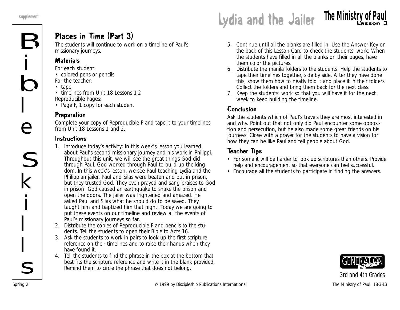#### Places in Time (Part 3)

The students will continue to work on a timeline of Paul's missionary journeys.

#### **Materials**

*For each student:*

- colored pens or pencils *For the teacher:*
- tape
- timelines from Unit 18 Lessons 1-2 *Reproducible Pages:*
- Page F, 1 copy for each student

#### Preparation

Complete your copy of Reproducible F and tape it to your timelines from Unit 18 Lessons 1 and 2.

#### Instructions

- 1. Introduce today's activity: *In this week's lesson you learned about Paul's second missionary journey and his work in Philippi. Throughout this unit, we will see the great things God did through Paul. God worked through Paul to build up the kingdom*. *In this week's lesson, we see Paul teaching Lydia and the Philippian jailer. Paul and Silas were beaten and put in prison, but they trusted God. They even prayed and sang praises to God in prison! God caused an earthquake to shake the prison and open the doors. The jailer was frightened and amazed. He asked Paul and Silas what he should do to be saved. They taught him and baptized him that night. Today we are going to put these events on our timeline and review all the events of Paul's missionary journeys so far*.
- 2. Distribute the copies of Reproducible F and pencils to the students. Tell the students to open their Bible to Acts 16.
- 3. Ask the students to work in pairs to look up the first scripture reference on their timelines and to raise their hands when they have found it.
- 4. Tell the students to find the phrase in the box at the bottom that best fits the scripture reference and write it in the blank provided. Remind them to circle the phrase that does not belong.

## **Experiment Lydia and the Jailer The Ministry of Paul** supplement

- 5. Continue until all the blanks are filled in. Use the Answer Key on the back of this Lesson Card to check the students' work. When the students have filled in all the blanks on their pages, have them color the pictures.
- 6. Distribute the manila folders to the students. Help the students to tape their timelines together, side by side. After they have done this, show them how to neatly fold it and place it in their folders. Collect the folders and bring them back for the next class.
- 7. Keep the students' work so that you will have it for the next week to keep building the timeline.

#### Conclusion

Ask the students which of Paul's travels they are most interested in and why. Point out that not only did Paul encounter some opposition and persecution, but he also made some great friends on his journeys. Close with a prayer for the students to have a vision for how they can be like Paul and tell people about God.

#### Teacher Tips

- For some it will be harder to look up scriptures than others. Provide help and encouragement so that everyone can feel successful.
- Encourage all the students to participate in finding the answers.

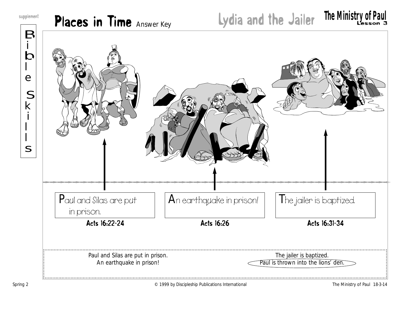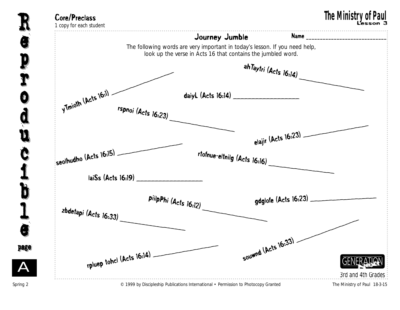

e p r o d u c i b  $\mathbf{I}% _{t}\left| \mathbf{I}_{t}\right| =\mathbf{I}_{t}+\mathbf{I}_{t}+\mathbf{I}_{t}+\mathbf{I}_{t}+\mathbf{I}_{t}+\mathbf{I}_{t}+\mathbf{I}_{t}+\mathbf{I}_{t}+\mathbf{I}_{t}+\mathbf{I}_{t}+\mathbf{I}_{t}+\mathbf{I}_{t}+\mathbf{I}_{t}+\mathbf{I}_{t}+\mathbf{I}_{t}+\mathbf{I}_{t}+\mathbf{I}_{t}+\mathbf{I}_{t}+\mathbf{I}_{t}+\mathbf{I}_{t}+\mathbf{I}_{t}+\mathbf{I}_{t}+\mathbf{I}_{t}+\mathbf{I}_{t}+\mathbf{I$ e page page R e p r o d u Č i b l e

A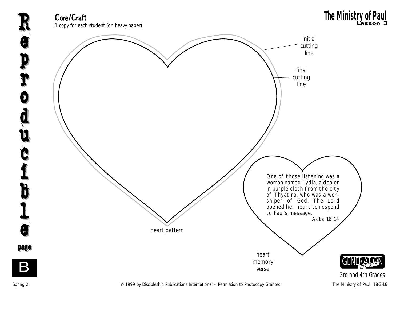**Core/Craft**<br>1 copy for each student (on heavy paper)

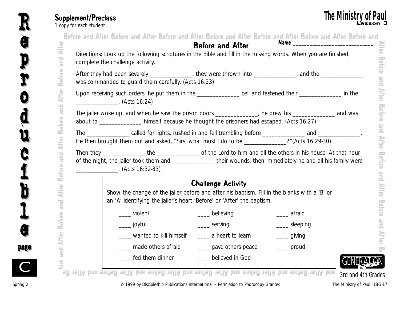| Supplement/Preclass     |  |  |  |
|-------------------------|--|--|--|
| 1 copy for each student |  |  |  |

| After                                                                                                      |                                                              |                                                                                                                                                                                                                   | <b>Before and After</b>   |                                             |  |
|------------------------------------------------------------------------------------------------------------|--------------------------------------------------------------|-------------------------------------------------------------------------------------------------------------------------------------------------------------------------------------------------------------------|---------------------------|---------------------------------------------|--|
| and                                                                                                        | complete the challenge activity.                             | Directions: Look up the following scriptures in the Bible and fill in the missing words. When you are finished,                                                                                                   |                           |                                             |  |
| <b>Before</b>                                                                                              |                                                              | After they had been severely _______________, they were thrown into ____________, and the ______________<br>was commanded to guard them carefully. (Acts 16:23)                                                   |                           |                                             |  |
| <b>After</b>                                                                                               | $\begin{array}{cccc}\n 2 & 16:24\n \end{array}$ (Acts 16:24) | Upon receiving such orders, he put them in the _______________ cell and fastened their _______________ in the                                                                                                     |                           |                                             |  |
| and<br><b>Before</b>                                                                                       |                                                              | The jailer woke up, and when he saw the prison doors ____________, he drew his ____________ and was<br>about to _____________ himself because he thought the prisoners had escaped. (Acts 16:27)                  |                           |                                             |  |
|                                                                                                            |                                                              |                                                                                                                                                                                                                   |                           |                                             |  |
|                                                                                                            |                                                              | The _________________ called for lights, rushed in and fell trembling before ______________ and _______________.<br>He then brought them out and asked, "Sirs, what must I do to be ____________?"(Acts 16:29-30) |                           |                                             |  |
|                                                                                                            | $\sim$ (Acts 16:32-33)                                       | of the night, the jailer took them and ________________ their wounds; then immediately he and all his family were                                                                                                 |                           |                                             |  |
|                                                                                                            |                                                              |                                                                                                                                                                                                                   | <b>Challenge Activity</b> |                                             |  |
|                                                                                                            |                                                              | Show the change of the jailer before and after his baptism. Fill in the blanks with a 'B' or<br>an 'A' identifying the jailer's heart 'Before' or 'After' the baptism.                                            |                           |                                             |  |
|                                                                                                            |                                                              | violent                                                                                                                                                                                                           | believing                 | afraid                                      |  |
|                                                                                                            |                                                              | _____ joyful                                                                                                                                                                                                      | _____ serving             | _____ sleeping                              |  |
| <b>After</b><br><b>Due</b><br><b>Before</b><br>$\overline{\bullet}$<br>É<br>and<br><b>Before</b><br>ä<br>Ę |                                                              | wanted to kill himself                                                                                                                                                                                            | _____ a heart to learn    | $\frac{1}{\sqrt{1-\frac{1}{2}}}$ giving     |  |
| and                                                                                                        |                                                              | made others afraid                                                                                                                                                                                                | gave others peace         | $\frac{1}{\sqrt{1-\frac{1}{2}}}\text{prod}$ |  |



R

u u

page page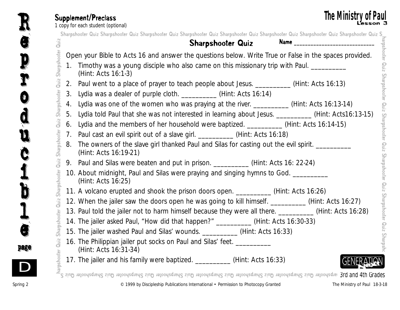#### Supplement/Preclass

Sharpshooter Quiz Sharpshooter Quiz Sharpshooter Quiz Sharpshooter Quiz Sharpshooter Quiz Sharpshooter Quiz Sharpshooter Quiz Sharpshooter Quiz SharpshooterOpen your Bible to Acts 16 and answer the questions below. Write True or False in the spaces provided. **Sharpshooter Quiz Sharpshooter Quiz Sharpshooter Quiz Sharpshooter Quiz Sharpshooter Quiz Sharpshooter Club Sharpshooter Club Sharpshooter Club Sharpshooter Club Sharpshooter Club Sharpshooter Club Sharpshooter Club Shar** z S Sharpshooter Quiz Sharpshooter Quiz Sharpshooter Quiz Sharpshooter Quiz Sharpshooter Quiz Sharpshooter Quiz Sharpshooter Quiz Sharpshooter Qui *3rd and 4th Grades* 1. Timothy was a young disciple who also came on this missionary trip with Paul. (Hint: Acts 16:1-3) 2. Paul went to a place of prayer to teach people about Jesus. \_\_\_\_\_\_\_\_\_\_(Hint: Acts 16:13) 3. Lydia was a dealer of purple cloth. \_\_\_\_\_\_\_\_\_\_ (Hint: Acts 16:14) 4. Lydia was one of the women who was praying at the river. \_\_\_\_\_\_\_\_\_\_\_(Hint: Acts 16:13-14) 5. Lydia told Paul that she was not interested in learning about Jesus. \_\_\_\_\_\_\_\_\_\_ (Hint: Acts16:13-15) 6. Lydia and the members of her household were baptized. (Hint: Acts 16:14-15) 7. Paul cast an evil spirit out of a slave girl. \_\_\_\_\_\_\_\_\_\_\_(Hint: Acts 16:18) 8. The owners of the slave girl thanked Paul and Silas for casting out the evil spirit. (Hint: Acts 16:19-21) 9. Paul and Silas were beaten and put in prison. \_\_\_\_\_\_\_\_\_\_\_ (Hint: Acts 16: 22-24) 10. About midnight, Paul and Silas were praying and singing hymns to God. (Hint: Acts 16:25) 11. A volcano erupted and shook the prison doors open. \_\_\_\_\_\_\_\_\_\_ (Hint: Acts 16:26) 12. When the jailer saw the doors open he was going to kill himself. \_\_\_\_\_\_\_\_\_\_\_(Hint: Acts 16:27) 13. Paul told the jailer not to harm himself because they were all there. \_\_\_\_\_\_\_\_\_\_ (Hint: Acts 16:28) 14. The jailer asked Paul, "How did that happen?" (Hint: Acts 16:30-33) 15. The jailer washed Paul and Silas' wounds. \_\_\_\_\_\_\_\_\_\_ (Hint: Acts 16:33) 16. The Philippian jailer put socks on Paul and Silas' feet. \_\_\_\_\_\_\_\_\_\_ (Hint: Acts 16:31-34) 17. The jailer and his family were baptized. <br>
(Hint: Acts 16:33) Supplement/Preclass The Ministry of Pa<br>1 copy for each student (optional) and the student (optional) Lesson Sharpshooter Quiz Sharpshooter Quiz Sharpshooter Quiz Sharpshooter Quiz Sharpshooter Quiz Sharpshooter Quiz Sharpshooter Quiz Sharpshooter Quiz S Sharpshooter Quiz Name **\_\_\_\_\_\_\_\_\_\_\_\_\_\_\_\_\_\_\_\_\_\_\_\_\_\_\_\_\_**

Quiz Sharpshooter Quiz Sharpshooter Quiz Sharpshooter Quiz Sharpshooter Quiz Sharpshooter

e

e

R

p

p

r

r

o

o

d

d

u

u

c

Č

i

i

b

b

 $\mathbf{I}% _{t}\left| \mathbf{I}_{t}\right| =\mathbf{I}_{t}+\mathbf{I}_{t}+\mathbf{I}_{t}+\mathbf{I}_{t}+\mathbf{I}_{t}+\mathbf{I}_{t}+\mathbf{I}_{t}+\mathbf{I}_{t}+\mathbf{I}_{t}+\mathbf{I}_{t}+\mathbf{I}_{t}+\mathbf{I}_{t}+\mathbf{I}_{t}+\mathbf{I}_{t}+\mathbf{I}_{t}+\mathbf{I}_{t}+\mathbf{I}_{t}+\mathbf{I}_{t}+\mathbf{I}_{t}+\mathbf{I}_{t}+\mathbf{I}_{t}+\mathbf{I}_{t}+\mathbf{I}_{t}+\mathbf{I}_{t}+\mathbf{I$ 

l

e

e

page page

D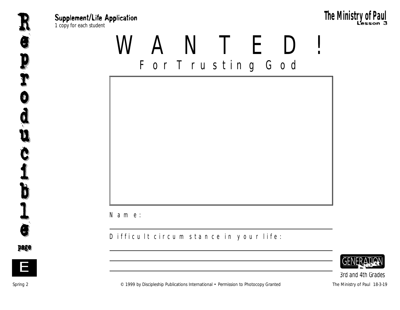

Supplement/Life Application and the student of the copy for each student  $\mathbf P$  and  $\mathbf P$  and  $\mathbf P$  and  $\mathbf P$  and  $\mathbf P$  and  $\mathbf P$  and  $\mathbf P$  and  $\mathbf P$  and  $\mathbf P$  and  $\mathbf P$  and  $\mathbf P$  and  $\mathbf P$  and  $\mathbf P$  and  $\mathbf P$ **The Ministry of Paul**<br>The Ministry of Paul Resson 3<br>The Ministry of Paul Resson 3

WANTED! For Trusting God



Name:

#### Difficult circumstance in your life:



*3rd and 4th Grades*



e

e

R

p

p

r

r

o o

d

d

u

u

c

Č

i

i

b

b

 $\mathbf{I}% _{t}\left| \mathbf{I}_{t}\right| =\mathbf{I}_{t}+\mathbf{I}_{t}+\mathbf{I}_{t}+\mathbf{I}_{t}+\mathbf{I}_{t}+\mathbf{I}_{t}+\mathbf{I}_{t}+\mathbf{I}_{t}+\mathbf{I}_{t}+\mathbf{I}_{t}+\mathbf{I}_{t}+\mathbf{I}_{t}+\mathbf{I}_{t}+\mathbf{I}_{t}+\mathbf{I}_{t}+\mathbf{I}_{t}+\mathbf{I}_{t}+\mathbf{I}_{t}+\mathbf{I}_{t}+\mathbf{I}_{t}+\mathbf{I}_{t}+\mathbf{I}_{t}+\mathbf{I}_{t}+\mathbf{I}_{t}+\mathbf{I$ 

l

e

e

page page

E